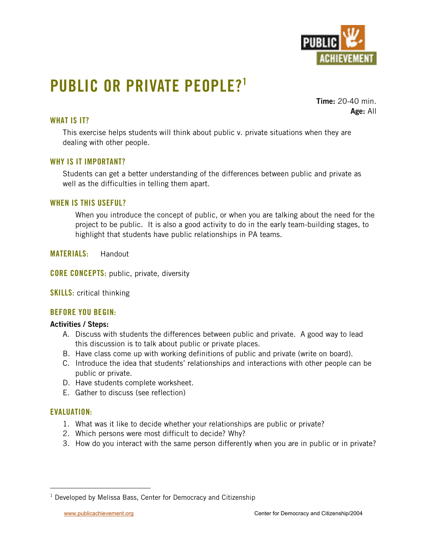

# **PUBLIC OR PRIVATE PEOPLE?1**

**Time:** 20-40 min. **Age:** All

# **WHAT IS IT?**

This exercise helps students will think about public v. private situations when they are dealing with other people.

## **WHY IS IT IMPORTANT?**

Students can get a better understanding of the differences between public and private as well as the difficulties in telling them apart.

#### **WHEN IS THIS USEFUL?**

When you introduce the concept of public, or when you are talking about the need for the project to be public. It is also a good activity to do in the early team-building stages, to highlight that students have public relationships in PA teams.

**MATERIALS:** Handout

**CORE CONCEPTS:** public, private, diversity

**SKILLS:** critical thinking

## **BEFORE YOU BEGIN:**

#### **Activities / Steps:**

- A. Discuss with students the differences between public and private. A good way to lead this discussion is to talk about public or private places.
- B. Have class come up with working definitions of public and private (write on board).
- C. Introduce the idea that students' relationships and interactions with other people can be public or private.
- D. Have students complete worksheet.
- E. Gather to discuss (see reflection)

## **EVALUATION:**

- 1. What was it like to decide whether your relationships are public or private?
- 2. Which persons were most difficult to decide? Why?
- 3. How do you interact with the same person differently when you are in public or in private?

 $\frac{1}{1}$  $1$  Developed by Melissa Bass, Center for Democracy and Citizenship